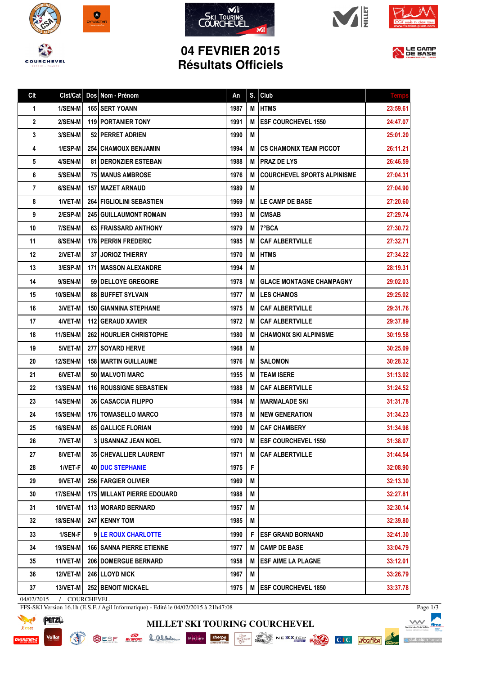











LE CAMP

## **04 FEVRIER 2015 Résultats Officiels**

| Clt        | Clst/Cat               | Dos Nom - Prénom                  | An   | S. | Club                               | <b>Temps</b> |
|------------|------------------------|-----------------------------------|------|----|------------------------------------|--------------|
| 1          | 1/SEN-M                | 165 SERT YOANN                    | 1987 | М  | <b>HTMS</b>                        | 23:59.61     |
| 2          | 2/SEN-M                | <b>119 PORTANIER TONY</b>         | 1991 | М  | <b>ESF COURCHEVEL 1550</b>         | 24:47.07     |
| 3          | 3/SEN-M                | 52 PERRET ADRIEN                  | 1990 | M  |                                    | 25:01.20     |
| 4          | 1/ESP-M                | <b>254   CHAMOUX BENJAMIN</b>     | 1994 | M  | <b>CS CHAMONIX TEAM PICCOT</b>     | 26:11.21     |
| 5          | 4/SEN-M                | <b>81   DERONZIER ESTEBAN</b>     | 1988 | M  | <b>PRAZ DE LYS</b>                 | 26:46.59     |
| 6          | 5/SEN-M                | <b>75 MANUS AMBROSE</b>           | 1976 | M  | <b>COURCHEVEL SPORTS ALPINISME</b> | 27:04.31     |
| 7          | 6/SEN-M                | 157   MAZET ARNAUD                | 1989 | M  |                                    | 27:04.90     |
| 8          | 1/VET-M                | 264 FIGLIOLINI SEBASTIEN          | 1969 | M  | <b>LE CAMP DE BASE</b>             | 27:20.60     |
| 9          | 2/ESP-M                | 245 GUILLAUMONT ROMAIN            | 1993 | М  | <b>CMSAB</b>                       | 27:29.74     |
| 10         | 7/SEN-M                | 63 FRAISSARD ANTHONY              | 1979 | M  | 7°BCA                              | 27:30.72     |
| 11         | 8/SEN-M                | 178 PERRIN FREDERIC               | 1985 | M  | <b>CAF ALBERTVILLE</b>             | 27:32.71     |
| 12         | 2/VET-M                | <b>37 JORIOZ THIERRY</b>          | 1970 | M  | <b>HTMS</b>                        | 27:34.22     |
| 13         | 3/ESP-M                | <b>171   MASSON ALEXANDRE</b>     | 1994 | M  |                                    | 28:19.31     |
| 14         | 9/SEN-M                | 59   DELLOYE GREGOIRE             | 1978 | М  | <b>GLACE MONTAGNE CHAMPAGNY</b>    | 29:02.03     |
| 15         | <b>10/SEN-M</b>        | 88 BUFFET SYLVAIN                 | 1977 | M  | <b>LES CHAMOS</b>                  | 29:25.02     |
| 16         | 3/VET-M                | <b>150   GIANNINA STEPHANE</b>    | 1975 | M  | <b>CAF ALBERTVILLE</b>             | 29:31.76     |
| 17         | 4/VET-M                | <b>112   GERAUD XAVIER</b>        | 1972 | M  | <b>CAF ALBERTVILLE</b>             | 29:37.89     |
| 18         | 11/SEN-M               | <b>262 HOURLIER CHRISTOPHE</b>    | 1980 | M  | <b>CHAMONIX SKI ALPINISME</b>      | 30:19.58     |
| 19         | 5/VET-M                | 277 SOYARD HERVE                  | 1968 | M  |                                    | 30:25.09     |
| 20         | <b>12/SEN-M</b>        | <b>158   MARTIN GUILLAUME</b>     | 1976 | М  | <b>SALOMON</b>                     | 30:28.32     |
| 21         | 6/VET-M                | 50   MALVOTI MARC                 | 1955 | M  | <b>TEAM ISERE</b>                  | 31:13.02     |
| 22         | 13/SEN-M               | 116 ROUSSIGNE SEBASTIEN           | 1988 | M  | <b>CAF ALBERTVILLE</b>             | 31:24.52     |
| 23         | <b>14/SEN-M</b>        | <b>36 CASACCIA FILIPPO</b>        | 1984 | M  | MARMALADE SKI                      | 31:31.78     |
| 24         | 15/SEN-M               | <b>176 TOMASELLO MARCO</b>        | 1978 | M  | <b>NEW GENERATION</b>              | 31:34.23     |
| 25         | 16/SEN-M               | <b>85 GALLICE FLORIAN</b>         | 1990 | M  | <b>CAF CHAMBERY</b>                | 31:34.98     |
| 26         | 7/VET-M                | <b>3 USANNAZ JEAN NOEL</b>        | 1970 | M  | <b>ESF COURCHEVEL 1550</b>         | 31:38.07     |
| 27         | 8/VET-M                | 35 CHEVALLIER LAURENT             | 1971 | M  | <b>CAF ALBERTVILLE</b>             | 31:44.54     |
| 28         | 1/VET-F                | <b>40 DUC STEPHANIE</b>           | 1975 | F  |                                    | 32:08.90     |
| 29         | $9/VET-M$              | 256 FARGIER OLIVIER               | 1969 | Μ  |                                    | 32:13.30     |
| 30         | 17/SEN-M               | <b>175 MILLANT PIERRE EDOUARD</b> | 1988 | M  |                                    | 32:27.81     |
| 31         | 10/VET-M               | 113   MORARD BERNARD              | 1957 | Μ  |                                    | 32:30.14     |
| 32         | <b>18/SEN-M</b>        | 247 KENNY TOM                     | 1985 | M  |                                    | 32:39.80     |
| 33         | 1/SEN-F                | 9 LE ROUX CHARLOTTE               | 1990 | F  | <b>ESF GRAND BORNAND</b>           | 32:41.30     |
| 34         | 19/SEN-M               | <b>166 SANNA PIERRE ETIENNE</b>   | 1977 | M  | <b>CAMP DE BASE</b>                | 33:04.79     |
| 35         | $11/NET-M$             | 206 DOMERGUE BERNARD              | 1958 | M  | <b>ESF AIME LA PLAGNE</b>          | 33:12.01     |
| 36         | 12/VET-M               | 246 LLOYD NICK                    | 1967 | Μ  |                                    | 33:26.79     |
| 37         | 13/VET-M               | <b>252 BENOIT MICKAEL</b>         | 1975 | M  | <b>ESF COURCHEVEL 1850</b>         | 33:37.78     |
| 04/02/2015 | COURCHEVEL<br>$\prime$ |                                   |      |    |                                    |              |

**MILLET SKI TOURING COURCHEVEL**

FFS-SKI Version 16.1h (E.S.F. / Agil Informatique) - Edité le 04/02/2015 à 21h47:08

**READ** 



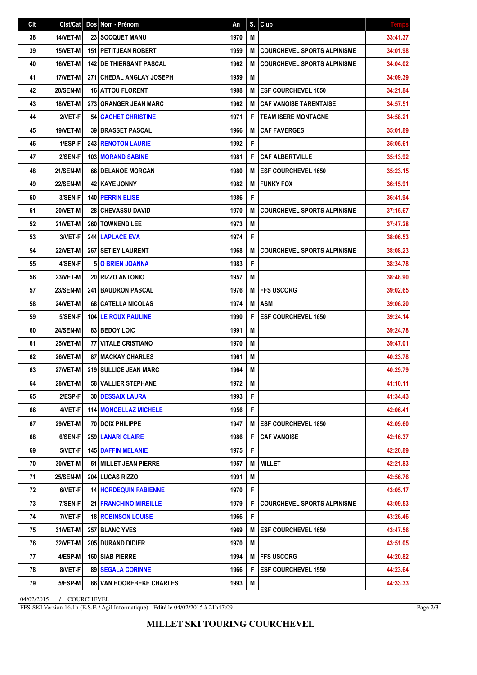| Clt |                 | Clst/Cat   Dos   Nom - Prénom   | An   | S. | Club                               | <b>Temps</b> |
|-----|-----------------|---------------------------------|------|----|------------------------------------|--------------|
| 38  | 14/VET-M        | 23 SOCQUET MANU                 | 1970 | M  |                                    | 33:41.37     |
| 39  | 15/VET-M        | <b>151   PETITJEAN ROBERT</b>   | 1959 | M  | <b>COURCHEVEL SPORTS ALPINISME</b> | 34:01.98     |
| 40  | 16/VET-M        | <b>142 DE THIERSANT PASCAL</b>  | 1962 | M  | <b>COURCHEVEL SPORTS ALPINISME</b> | 34:04.02     |
| 41  | 17/VET-M        | 271 CHEDAL ANGLAY JOSEPH        | 1959 | M  |                                    | 34:09.39     |
| 42  | <b>20/SEN-M</b> | <b>16 ATTOU FLORENT</b>         | 1988 | M  | <b>ESF COURCHEVEL 1650</b>         | 34:21.84     |
| 43  | 18/VET-M        | 273 GRANGER JEAN MARC           | 1962 | M  | <b>CAF VANOISE TARENTAISE</b>      | 34:57.51     |
| 44  | 2/VET-F         | <b>54 GACHET CHRISTINE</b>      | 1971 | F  | <b>TEAM ISERE MONTAGNE</b>         | 34:58.21     |
| 45  | <b>19/VET-M</b> | <b>39 BRASSET PASCAL</b>        | 1966 | M  | <b>CAF FAVERGES</b>                | 35:01.89     |
| 46  | 1/ESP-F         | <b>243 RENOTON LAURIE</b>       | 1992 | F  |                                    | 35:05.61     |
| 47  | 2/SEN-F         | 103 MORAND SABINE               | 1981 | F  | <b>CAF ALBERTVILLE</b>             | 35:13.92     |
| 48  | <b>21/SEN-M</b> | 66   DELANOE MORGAN             | 1980 | M  | <b>ESF COURCHEVEL 1650</b>         | 35:23.15     |
| 49  | <b>22/SEN-M</b> | 42 KAYE JONNY                   | 1982 | M  | <b>FUNKY FOX</b>                   | 36:15.91     |
| 50  | 3/SEN-F         | <b>140 PERRIN ELISE</b>         | 1986 | F  |                                    | 36:41.94     |
| 51  | 20/VET-M        | <b>28 CHEVASSU DAVID</b>        | 1970 | M  | <b>COURCHEVEL SPORTS ALPINISME</b> | 37:15.67     |
| 52  | 21/VET-M        | <b>260   TOWNEND LEE</b>        | 1973 | Μ  |                                    | 37:47.28     |
| 53  | 3/VET-F         | 244 LAPLACE EVA                 | 1974 | F  |                                    | 38:06.53     |
| 54  | 22/VET-M        | <b>267 SETIEY LAURENT</b>       | 1968 | M  | <b>COURCHEVEL SPORTS ALPINISME</b> | 38:08.23     |
| 55  | 4/SEN-F         | <b>5 O BRIEN JOANNA</b>         | 1983 | F  |                                    | 38:34.78     |
| 56  | 23/VET-M        | <b>20 RIZZO ANTONIO</b>         | 1957 | M  |                                    | 38:48.90     |
| 57  | 23/SEN-M        | <b>241 BAUDRON PASCAL</b>       | 1976 | M  | <b>FFS USCORG</b>                  | 39:02.65     |
| 58  | 24/VET-M        | 68 CATELLA NICOLAS              | 1974 | M  | <b>ASM</b>                         | 39:06.20     |
| 59  | 5/SEN-F         | <b>104 LE ROUX PAULINE</b>      | 1990 | F  | <b>ESF COURCHEVEL 1650</b>         | 39:24.14     |
| 60  | <b>24/SEN-M</b> | <b>83 BEDOY LOIC</b>            | 1991 | M  |                                    | 39:24.78     |
| 61  | 25/VET-M        | 77 VITALE CRISTIANO             | 1970 | M  |                                    | 39:47.01     |
| 62  | 26/VET-M        | <b>87 MACKAY CHARLES</b>        | 1961 | M  |                                    | 40:23.78     |
| 63  | 27/VET-M        | 219 SULLICE JEAN MARC           | 1964 | M  |                                    | 40:29.79     |
| 64  | <b>28/VET-M</b> | <b>58 VALLIER STEPHANE</b>      | 1972 | Μ  |                                    | 41:10.11     |
| 65  | $2/ESP-F$       | <b>30   DESSAIX LAURA</b>       | 1993 | F  |                                    | 41:34.43     |
| 66  | 4/VET-F         | <b>114   MONGELLAZ MICHELE</b>  | 1956 | F  |                                    | 42:06.41     |
| 67  | 29/VET-M        | 70 DOIX PHILIPPE                | 1947 | Μ  | <b>ESF COURCHEVEL 1850</b>         | 42:09.60     |
| 68  | 6/SEN-F         | 259 LANARI CLAIRE               | 1986 | F  | <b>CAF VANOISE</b>                 | 42:16.37     |
| 69  | 5/VET-F         | <b>145 DAFFIN MELANIE</b>       | 1975 | F  |                                    | 42:20.89     |
| 70  | 30/VET-M        | 51   MILLET JEAN PIERRE         | 1957 | M  | <b>MILLET</b>                      | 42:21.83     |
| 71  | <b>25/SEN-M</b> | 204 LUCAS RIZZO                 | 1991 | M  |                                    | 42:56.76     |
| 72  | 6/VET-F         | <b>14 HORDEQUIN FABIENNE</b>    | 1970 | F  |                                    | 43:05.17     |
| 73  | 7/SEN-F         | <b>21 FRANCHINO MIREILLE</b>    | 1979 | F  | <b>COURCHEVEL SPORTS ALPINISME</b> | 43:09.53     |
| 74  | 7/VET-F         | <b>18 ROBINSON LOUISE</b>       | 1966 | F  |                                    | 43:26.46     |
| 75  | 31/VET-M        | <b>257 BLANC YVES</b>           | 1969 | M  | <b>ESF COURCHEVEL 1650</b>         | 43:47.56     |
| 76  | 32/VET-M        | <b>205 DURAND DIDIER</b>        | 1970 | M  |                                    | 43:51.05     |
| 77  | 4/ESP-M         | <b>160 SIAB PIERRE</b>          | 1994 | M  | <b>IFFS USCORG</b>                 | 44:20.82     |
| 78  | 8/VET-F         | <b>89   SEGALA CORINNE</b>      | 1966 | F  | <b>ESF COURCHEVEL 1550</b>         | 44:23.64     |
| 79  | 5/ESP-M         | <b>86 VAN HOOREBEKE CHARLES</b> | 1993 | M  |                                    | 44:33.33     |

04/02/2015 / COURCHEVEL

FFS-SKI Version 16.1h (E.S.F. / Agil Informatique) - Edité le 04/02/2015 à 21h47:09

Page 2/3